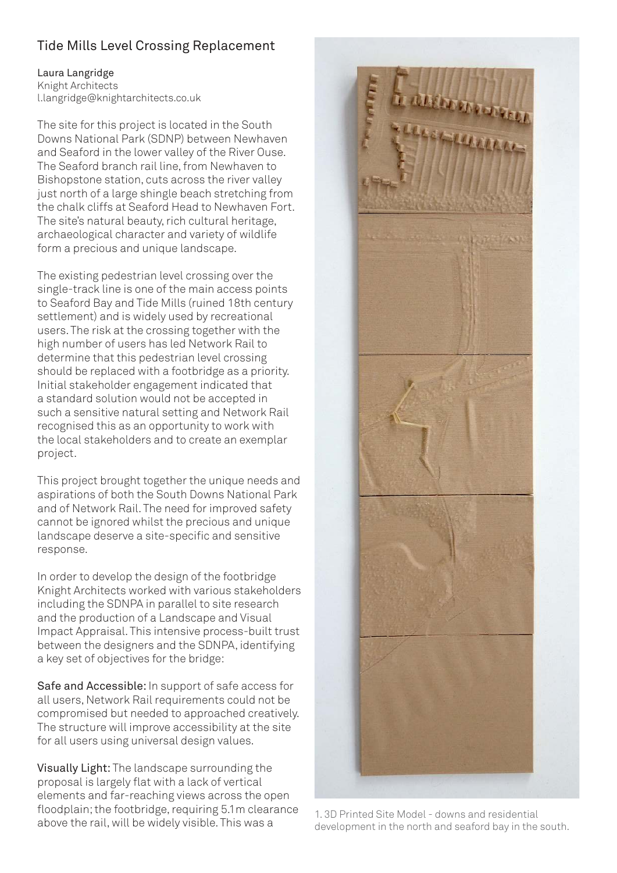## Tide Mills Level Crossing Replacement

## Laura Langridge Knight Architects l.langridge@knightarchitects.co.uk

The site for this project is located in the South Downs National Park (SDNP) between Newhaven and Seaford in the lower valley of the River Ouse. The Seaford branch rail line, from Newhaven to Bishopstone station, cuts across the river valley just north of a large shingle beach stretching from the chalk cliffs at Seaford Head to Newhaven Fort. The site's natural beauty, rich cultural heritage, archaeological character and variety of wildlife form a precious and unique landscape.

The existing pedestrian level crossing over the single-track line is one of the main access points to Seaford Bay and Tide Mills (ruined 18th century settlement) and is widely used by recreational users. The risk at the crossing together with the high number of users has led Network Rail to determine that this pedestrian level crossing should be replaced with a footbridge as a priority. Initial stakeholder engagement indicated that a standard solution would not be accepted in such a sensitive natural setting and Network Rail recognised this as an opportunity to work with the local stakeholders and to create an exemplar project.

This project brought together the unique needs and aspirations of both the South Downs National Park and of Network Rail. The need for improved safety cannot be ignored whilst the precious and unique landscape deserve a site-specific and sensitive response.

In order to develop the design of the footbridge Knight Architects worked with various stakeholders including the SDNPA in parallel to site research and the production of a Landscape and Visual Impact Appraisal. This intensive process-built trust between the designers and the SDNPA, identifying a key set of objectives for the bridge:

Safe and Accessible: In support of safe access for all users, Network Rail requirements could not be compromised but needed to approached creatively. The structure will improve accessibility at the site for all users using universal design values.

Visually Light: The landscape surrounding the proposal is largely flat with a lack of vertical elements and far-reaching views across the open floodplain; the footbridge, requiring 5.1m clearance above the rail, will be widely visible. This was a



1. 3D Printed Site Model - downs and residential development in the north and seaford bay in the south.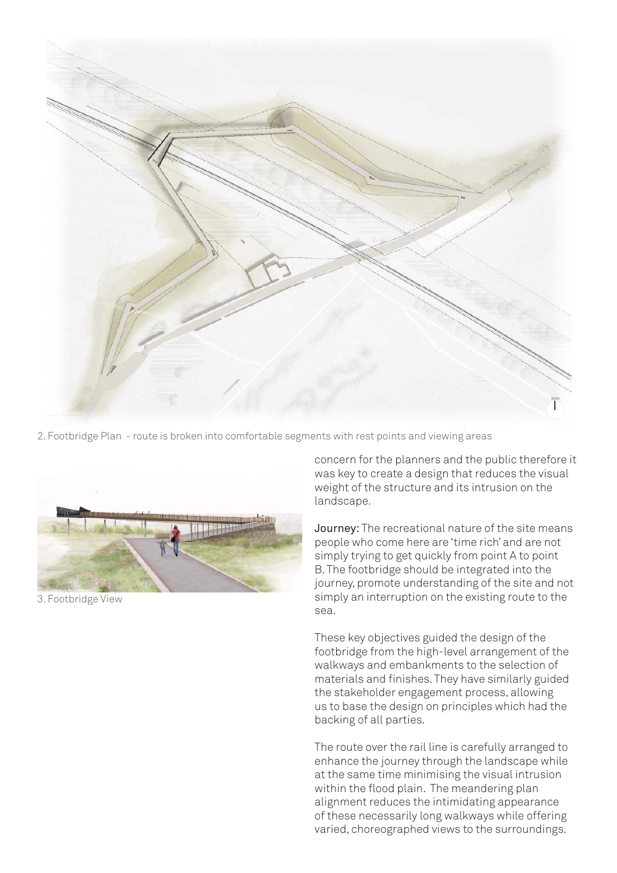

2. Footbridge Plan - route is broken into comfortable segments with rest points and viewing areas



3. Footbridge View

concern for the planners and the public therefore it was key to create a design that reduces the visual weight of the structure and its intrusion on the landscape.

Journey: The recreational nature of the site means people who come here are 'time rich' and are not simply trying to get quickly from point A to point B. The footbridge should be integrated into the journey, promote understanding of the site and not simply an interruption on the existing route to the sea.

These key objectives guided the design of the footbridge from the high-level arrangement of the walkways and embankments to the selection of materials and finishes. They have similarly guided the stakeholder engagement process, allowing us to base the design on principles which had the backing of all parties.

The route over the rail line is carefully arranged to enhance the journey through the landscape while at the same time minimising the visual intrusion within the flood plain. The meandering plan alignment reduces the intimidating appearance of these necessarily long walkways while offering varied, choreographed views to the surroundings.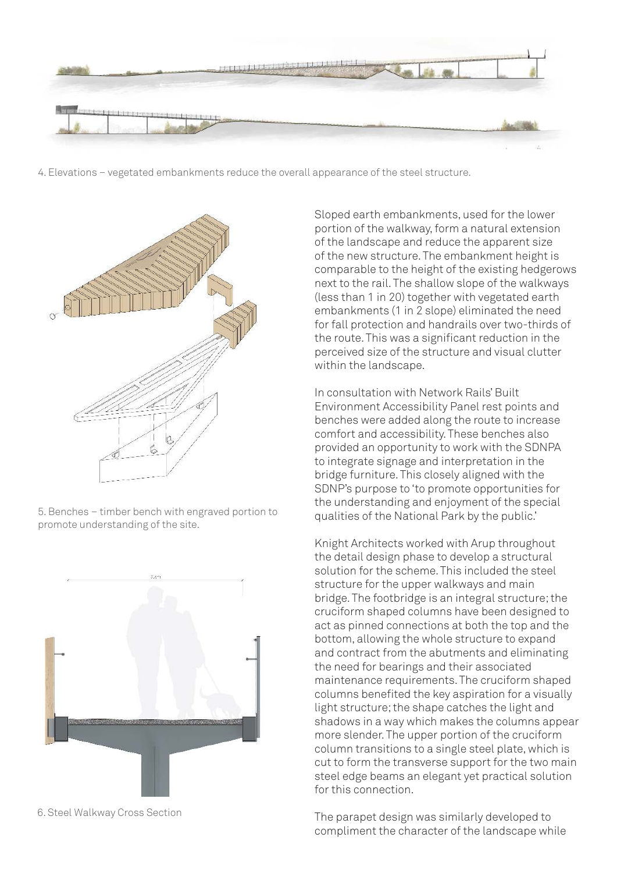

4. Elevations – vegetated embankments reduce the overall appearance of the steel structure.



5. Benches – timber bench with engraved portion to promote understanding of the site.



6. Steel Walkway Cross Section

Sloped earth embankments, used for the lower portion of the walkway, form a natural extension of the landscape and reduce the apparent size of the new structure. The embankment height is comparable to the height of the existing hedgerows next to the rail. The shallow slope of the walkways (less than 1 in 20) together with vegetated earth embankments (1 in 2 slope) eliminated the need for fall protection and handrails over two-thirds of the route. This was a significant reduction in the perceived size of the structure and visual clutter within the landscape.

In consultation with Network Rails' Built Environment Accessibility Panel rest points and benches were added along the route to increase comfort and accessibility. These benches also provided an opportunity to work with the SDNPA to integrate signage and interpretation in the bridge furniture. This closely aligned with the SDNP's purpose to 'to promote opportunities for the understanding and enjoyment of the special qualities of the National Park by the public.'

Knight Architects worked with Arup throughout the detail design phase to develop a structural solution for the scheme. This included the steel structure for the upper walkways and main bridge. The footbridge is an integral structure; the cruciform shaped columns have been designed to act as pinned connections at both the top and the bottom, allowing the whole structure to expand and contract from the abutments and eliminating the need for bearings and their associated maintenance requirements. The cruciform shaped columns benefited the key aspiration for a visually light structure; the shape catches the light and shadows in a way which makes the columns appear more slender. The upper portion of the cruciform column transitions to a single steel plate, which is cut to form the transverse support for the two main steel edge beams an elegant yet practical solution for this connection.

The parapet design was similarly developed to compliment the character of the landscape while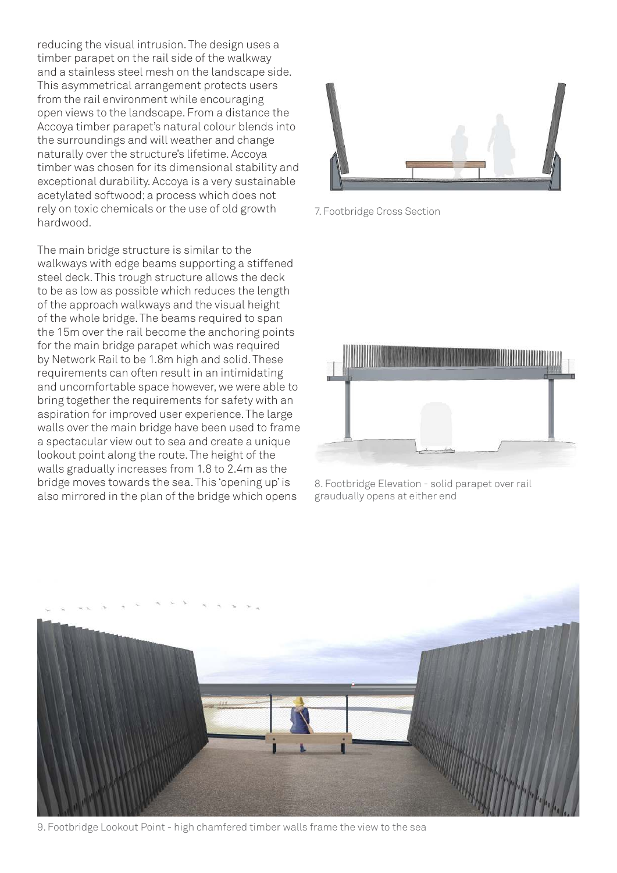reducing the visual intrusion. The design uses a timber parapet on the rail side of the walkway and a stainless steel mesh on the landscape side. This asymmetrical arrangement protects users from the rail environment while encouraging open views to the landscape. From a distance the Accoya timber parapet's natural colour blends into the surroundings and will weather and change naturally over the structure's lifetime. Accoya timber was chosen for its dimensional stability and exceptional durability. Accoya is a very sustainable acetylated softwood; a process which does not rely on toxic chemicals or the use of old growth hardwood.

The main bridge structure is similar to the walkways with edge beams supporting a stiffened steel deck. This trough structure allows the deck to be as low as possible which reduces the length of the approach walkways and the visual height of the whole bridge. The beams required to span the 15m over the rail become the anchoring points for the main bridge parapet which was required by Network Rail to be 1.8m high and solid. These requirements can often result in an intimidating and uncomfortable space however, we were able to bring together the requirements for safety with an aspiration for improved user experience. The large walls over the main bridge have been used to frame a spectacular view out to sea and create a unique lookout point along the route. The height of the walls gradually increases from 1.8 to 2.4m as the bridge moves towards the sea. This 'opening up' is also mirrored in the plan of the bridge which opens



7. Footbridge Cross Section



8. Footbridge Elevation - solid parapet over rail graudually opens at either end



9. Footbridge Lookout Point - high chamfered timber walls frame the view to the sea